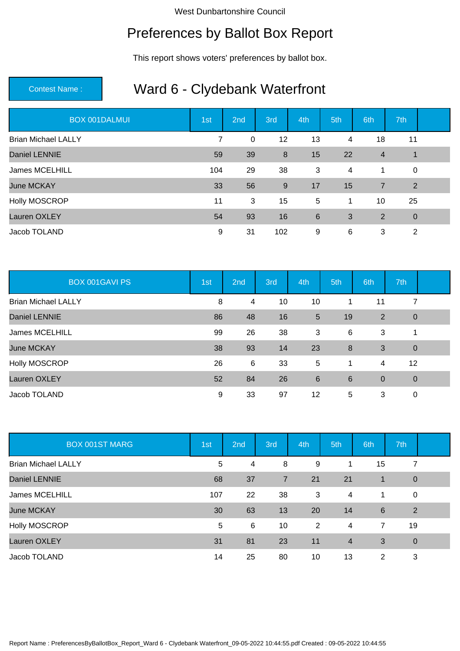## Preferences by Ballot Box Report

This report shows voters' preferences by ballot box.

| <b>BOX 001DALMUI</b>       | 1st            | 2nd         | 3rd | 4th | 5th            | 6th            | 7th          |  |
|----------------------------|----------------|-------------|-----|-----|----------------|----------------|--------------|--|
| <b>Brian Michael LALLY</b> | $\overline{7}$ | $\mathbf 0$ | 12  | 13  | 4              | 18             | 11           |  |
| <b>Daniel LENNIE</b>       | 59             | 39          | 8   | 15  | 22             | $\overline{4}$ | $\mathbf{1}$ |  |
| James MCELHILL             | 104            | 29          | 38  | 3   | $\overline{4}$ | 1              | $\mathbf 0$  |  |
| <b>June MCKAY</b>          | 33             | 56          | 9   | 17  | 15             | $\overline{7}$ | 2            |  |
| Holly MOSCROP              | 11             | 3           | 15  | 5   | 1              | 10             | 25           |  |
| <b>Lauren OXLEY</b>        | 54             | 93          | 16  | 6   | 3              | 2              | $\mathbf 0$  |  |
| Jacob TOLAND               | 9              | 31          | 102 | 9   | 6              | 3              | 2            |  |

| <b>BOX 001GAVI PS</b>      | 1st | 2 <sub>nd</sub> | 3rd | 4th             | 5th | 6th            | 7th            |  |
|----------------------------|-----|-----------------|-----|-----------------|-----|----------------|----------------|--|
| <b>Brian Michael LALLY</b> | 8   | 4               | 10  | 10              |     | 11             | 7              |  |
| Daniel LENNIE              | 86  | 48              | 16  | 5               | 19  | 2              | $\overline{0}$ |  |
| James MCELHILL             | 99  | 26              | 38  | 3               | 6   | 3              | 1              |  |
| <b>June MCKAY</b>          | 38  | 93              | 14  | 23              | 8   | 3              | $\overline{0}$ |  |
| Holly MOSCROP              | 26  | 6               | 33  | 5               | 1   | 4              | 12             |  |
| Lauren OXLEY               | 52  | 84              | 26  | $6\phantom{1}6$ | 6   | $\overline{0}$ | $\overline{0}$ |  |
| Jacob TOLAND               | 9   | 33              | 97  | 12              | 5   | 3              | 0              |  |

| <b>BOX 001ST MARG</b>      | 1st | 2 <sub>nd</sub> | 3rd            | 4th | 5th            | 6th | 7th            |  |
|----------------------------|-----|-----------------|----------------|-----|----------------|-----|----------------|--|
| <b>Brian Michael LALLY</b> | 5   | 4               | 8              | 9   | 1              | 15  | 7              |  |
| <b>Daniel LENNIE</b>       | 68  | 37              | $\overline{7}$ | 21  | 21             | 1   | $\theta$       |  |
| James MCELHILL             | 107 | 22              | 38             | 3   | $\overline{4}$ | 1   | $\mathbf 0$    |  |
| <b>June MCKAY</b>          | 30  | 63              | 13             | 20  | 14             | 6   | $\overline{2}$ |  |
| Holly MOSCROP              | 5   | 6               | 10             | 2   | $\overline{4}$ | 7   | 19             |  |
| Lauren OXLEY               | 31  | 81              | 23             | 11  | $\overline{4}$ | 3   | $\mathbf 0$    |  |
| Jacob TOLAND               | 14  | 25              | 80             | 10  | 13             | 2   | 3              |  |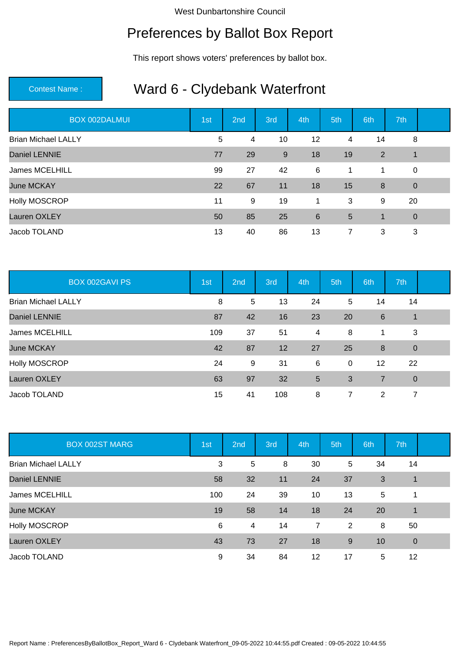## Preferences by Ballot Box Report

This report shows voters' preferences by ballot box.

| <b>BOX 002DALMUI</b>       | 1st | 2nd | 3rd | 4th | 5th            | 6th         | 7th            |  |
|----------------------------|-----|-----|-----|-----|----------------|-------------|----------------|--|
| <b>Brian Michael LALLY</b> | 5   | 4   | 10  | 12  | 4              | 14          | 8              |  |
| <b>Daniel LENNIE</b>       | 77  | 29  | 9   | 18  | 19             | 2           | $\overline{1}$ |  |
| James MCELHILL             | 99  | 27  | 42  | 6   | $\mathbf 1$    | 1           | $\mathbf 0$    |  |
| <b>June MCKAY</b>          | 22  | 67  | 11  | 18  | 15             | 8           | $\overline{0}$ |  |
| Holly MOSCROP              | 11  | 9   | 19  | 1   | 3              | 9           | 20             |  |
| <b>Lauren OXLEY</b>        | 50  | 85  | 25  | 6   | 5              | $\mathbf 1$ | $\overline{0}$ |  |
| Jacob TOLAND               | 13  | 40  | 86  | 13  | $\overline{7}$ | 3           | 3              |  |

| <b>BOX 002GAVI PS</b>      | 1st | 2nd | 3rd | 4th | 5th         | 6th             | 7th            |  |
|----------------------------|-----|-----|-----|-----|-------------|-----------------|----------------|--|
| <b>Brian Michael LALLY</b> | 8   | 5   | 13  | 24  | 5           | 14              | 14             |  |
| <b>Daniel LENNIE</b>       | 87  | 42  | 16  | 23  | 20          | $6\phantom{1}6$ | 1              |  |
| James MCELHILL             | 109 | 37  | 51  | 4   | 8           | 1               | 3              |  |
| <b>June MCKAY</b>          | 42  | 87  | 12  | 27  | 25          | 8               | $\overline{0}$ |  |
| Holly MOSCROP              | 24  | 9   | 31  | 6   | $\mathbf 0$ | 12              | 22             |  |
| Lauren OXLEY               | 63  | 97  | 32  | 5   | 3           | 7               | $\overline{0}$ |  |
| Jacob TOLAND               | 15  | 41  | 108 | 8   | 7           | 2               | 7              |  |

| <b>BOX 002ST MARG</b>      | 1st | 2 <sub>nd</sub> | 3rd | 4th            | 5th | 6th | 7th         |  |
|----------------------------|-----|-----------------|-----|----------------|-----|-----|-------------|--|
| <b>Brian Michael LALLY</b> | 3   | 5               | 8   | 30             | 5   | 34  | 14          |  |
| <b>Daniel LENNIE</b>       | 58  | 32              | 11  | 24             | 37  | 3   | 1           |  |
| James MCELHILL             | 100 | 24              | 39  | 10             | 13  | 5   | 1           |  |
| <b>June MCKAY</b>          | 19  | 58              | 14  | 18             | 24  | 20  | $\mathbf 1$ |  |
| Holly MOSCROP              | 6   | 4               | 14  | $\overline{7}$ | 2   | 8   | 50          |  |
| Lauren OXLEY               | 43  | 73              | 27  | 18             | 9   | 10  | $\mathbf 0$ |  |
| Jacob TOLAND               | 9   | 34              | 84  | 12             | 17  | 5   | 12          |  |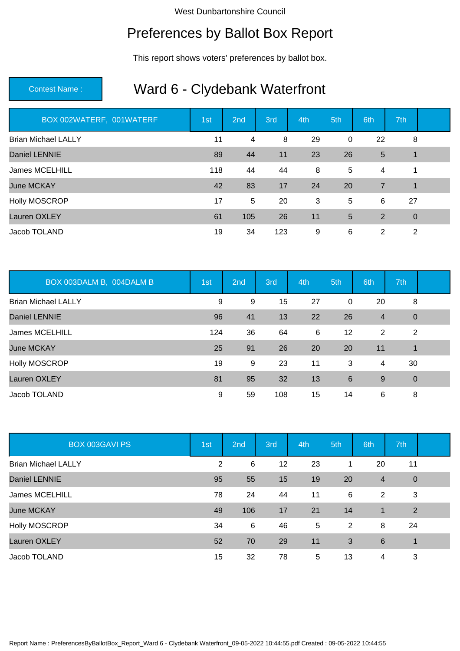# Preferences by Ballot Box Report

This report shows voters' preferences by ballot box.

| BOX 002WATERF, 001WATERF   | 1st | 2nd | 3rd | 4th | 5th            | 6th | 7th            |  |
|----------------------------|-----|-----|-----|-----|----------------|-----|----------------|--|
| <b>Brian Michael LALLY</b> | 11  | 4   | 8   | 29  | $\mathbf 0$    | 22  | 8              |  |
| <b>Daniel LENNIE</b>       | 89  | 44  | 11  | 23  | 26             | 5   | $\overline{1}$ |  |
| James MCELHILL             | 118 | 44  | 44  | 8   | 5              | 4   | 1              |  |
| <b>June MCKAY</b>          | 42  | 83  | 17  | 24  | 20             | 7   | $\overline{1}$ |  |
| <b>Holly MOSCROP</b>       | 17  | 5   | 20  | 3   | 5              | 6   | 27             |  |
| Lauren OXLEY               | 61  | 105 | 26  | 11  | $5\phantom{1}$ | 2   | $\overline{0}$ |  |
| Jacob TOLAND               | 19  | 34  | 123 | 9   | 6              | 2   | 2              |  |

| BOX 003DALM B, 004DALM B   | 1st | 2 <sub>nd</sub> | 3rd | 4th | 5th            | 6th            | 7th            |  |
|----------------------------|-----|-----------------|-----|-----|----------------|----------------|----------------|--|
| <b>Brian Michael LALLY</b> | 9   | 9               | 15  | 27  | 0              | 20             | 8              |  |
| <b>Daniel LENNIE</b>       | 96  | 41              | 13  | 22  | 26             | $\overline{4}$ | $\theta$       |  |
| James MCELHILL             | 124 | 36              | 64  | 6   | 12             | 2              | $\overline{2}$ |  |
| <b>June MCKAY</b>          | 25  | 91              | 26  | 20  | 20             | 11             | 1              |  |
| Holly MOSCROP              | 19  | 9               | 23  | 11  | 3              | 4              | 30             |  |
| Lauren OXLEY               | 81  | 95              | 32  | 13  | $6\phantom{1}$ | 9              | $\mathbf 0$    |  |
| Jacob TOLAND               | 9   | 59              | 108 | 15  | 14             | 6              | 8              |  |

| <b>BOX 003GAVI PS</b>      | 1st | 2 <sub>nd</sub> | 3rd | 4th | 5th | 6th            | 7th            |  |
|----------------------------|-----|-----------------|-----|-----|-----|----------------|----------------|--|
| <b>Brian Michael LALLY</b> | 2   | 6               | 12  | 23  | 1   | 20             | 11             |  |
| <b>Daniel LENNIE</b>       | 95  | 55              | 15  | 19  | 20  | $\overline{4}$ | $\overline{0}$ |  |
| James MCELHILL             | 78  | 24              | 44  | 11  | 6   | 2              | 3              |  |
| <b>June MCKAY</b>          | 49  | 106             | 17  | 21  | 14  | $\mathbf{1}$   | $\overline{2}$ |  |
| Holly MOSCROP              | 34  | 6               | 46  | 5   | 2   | 8              | 24             |  |
| Lauren OXLEY               | 52  | 70              | 29  | 11  | 3   | 6              | $\mathbf 1$    |  |
| Jacob TOLAND               | 15  | 32              | 78  | 5   | 13  | 4              | 3              |  |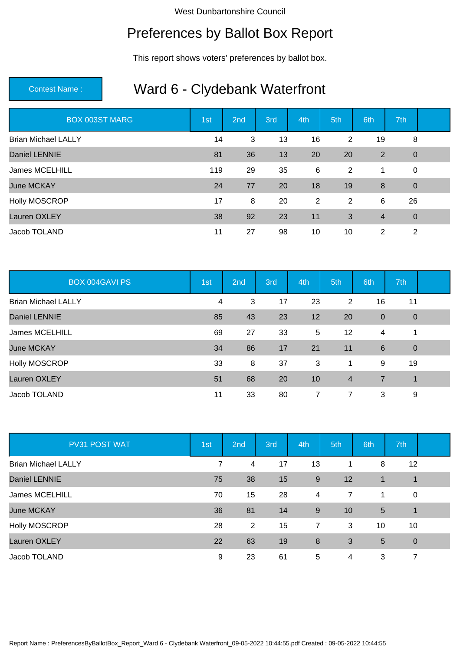## Preferences by Ballot Box Report

This report shows voters' preferences by ballot box.

| <b>BOX 003ST MARG</b>      | 1st | 2nd | 3rd | 4th | 5th | 6th            | 7th            |  |
|----------------------------|-----|-----|-----|-----|-----|----------------|----------------|--|
| <b>Brian Michael LALLY</b> | 14  | 3   | 13  | 16  | 2   | 19             | 8              |  |
| <b>Daniel LENNIE</b>       | 81  | 36  | 13  | 20  | 20  | 2              | $\overline{0}$ |  |
| James MCELHILL             | 119 | 29  | 35  | 6   | 2   | $\mathbf 1$    | $\mathbf 0$    |  |
| <b>June MCKAY</b>          | 24  | 77  | 20  | 18  | 19  | 8              | $\overline{0}$ |  |
| Holly MOSCROP              | 17  | 8   | 20  | 2   | 2   | 6              | 26             |  |
| <b>Lauren OXLEY</b>        | 38  | 92  | 23  | 11  | 3   | $\overline{4}$ | $\overline{0}$ |  |
| Jacob TOLAND               | 11  | 27  | 98  | 10  | 10  | 2              | 2              |  |

| <b>BOX 004GAVI PS</b>      | 1st | 2 <sub>nd</sub> | 3rd | 4th | 5th            | 6th            | 7th            |  |
|----------------------------|-----|-----------------|-----|-----|----------------|----------------|----------------|--|
| <b>Brian Michael LALLY</b> | 4   | 3               | 17  | 23  | 2              | 16             | 11             |  |
| <b>Daniel LENNIE</b>       | 85  | 43              | 23  | 12  | 20             | $\overline{0}$ | $\overline{0}$ |  |
| James MCELHILL             | 69  | 27              | 33  | 5   | 12             | 4              | 1              |  |
| <b>June MCKAY</b>          | 34  | 86              | 17  | 21  | 11             | $6\phantom{1}$ | $\overline{0}$ |  |
| Holly MOSCROP              | 33  | 8               | 37  | 3   | 1              | 9              | 19             |  |
| Lauren OXLEY               | 51  | 68              | 20  | 10  | $\overline{4}$ | 7              | $\mathbf{1}$   |  |
| Jacob TOLAND               | 11  | 33              | 80  | 7   | 7              | 3              | 9              |  |

| PV31 POST WAT              | 1st | 2 <sub>nd</sub> | 3rd | 4th   | 5th            | 6th             | 7th         |  |
|----------------------------|-----|-----------------|-----|-------|----------------|-----------------|-------------|--|
| <b>Brian Michael LALLY</b> | 7   | 4               | 17  | 13    | 1              | 8               | 12          |  |
| <b>Daniel LENNIE</b>       | 75  | 38              | 15  | $9\,$ | 12             | 1               | 1           |  |
| James MCELHILL             | 70  | 15              | 28  | 4     | $\overline{7}$ | 1               | $\mathbf 0$ |  |
| <b>June MCKAY</b>          | 36  | 81              | 14  | 9     | 10             | $5\phantom{.0}$ | 1           |  |
| Holly MOSCROP              | 28  | 2               | 15  | 7     | 3              | 10              | 10          |  |
| Lauren OXLEY               | 22  | 63              | 19  | 8     | 3              | 5               | $\mathbf 0$ |  |
| Jacob TOLAND               | 9   | 23              | 61  | 5     | 4              | 3               | 7           |  |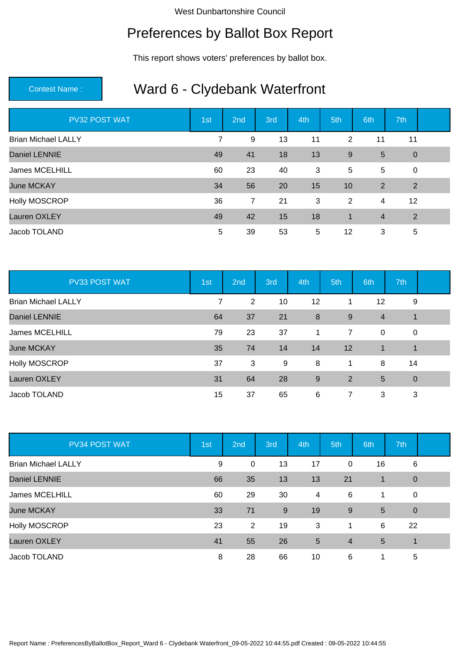## Preferences by Ballot Box Report

This report shows voters' preferences by ballot box.

| PV32 POST WAT              | 1st            | 2nd            | 3rd | 4th | 5th          | 6th            | 7th            |  |
|----------------------------|----------------|----------------|-----|-----|--------------|----------------|----------------|--|
| <b>Brian Michael LALLY</b> | $\overline{7}$ | 9              | 13  | 11  | 2            | 11             | 11             |  |
| <b>Daniel LENNIE</b>       | 49             | 41             | 18  | 13  | 9            | 5              | $\overline{0}$ |  |
| James MCELHILL             | 60             | 23             | 40  | 3   | 5            | 5              | $\mathbf 0$    |  |
| <b>June MCKAY</b>          | 34             | 56             | 20  | 15  | 10           | 2              | $\overline{2}$ |  |
| Holly MOSCROP              | 36             | $\overline{7}$ | 21  | 3   | 2            | 4              | 12             |  |
| <b>Lauren OXLEY</b>        | 49             | 42             | 15  | 18  | $\mathbf{1}$ | $\overline{4}$ | $\overline{2}$ |  |
| Jacob TOLAND               | 5              | 39             | 53  | 5   | 12           | 3              | 5              |  |

| PV33 POST WAT              | 1st | 2nd | 3rd | 4th              | 5th            | 6th            | 7th            |  |
|----------------------------|-----|-----|-----|------------------|----------------|----------------|----------------|--|
| <b>Brian Michael LALLY</b> | 7   | 2   | 10  | 12               |                | 12             | 9              |  |
| <b>Daniel LENNIE</b>       | 64  | 37  | 21  | $\boldsymbol{8}$ | 9              | $\overline{4}$ | 1              |  |
| James MCELHILL             | 79  | 23  | 37  | 1                | $\overline{7}$ | $\overline{0}$ | 0              |  |
| <b>June MCKAY</b>          | 35  | 74  | 14  | 14               | 12             | 1              | $\overline{1}$ |  |
| Holly MOSCROP              | 37  | 3   | 9   | 8                | 1              | 8              | 14             |  |
| Lauren OXLEY               | 31  | 64  | 28  | 9                | 2              | 5              | $\mathbf 0$    |  |
| Jacob TOLAND               | 15  | 37  | 65  | 6                | 7              | 3              | 3              |  |

| PV34 POST WAT              | 1st | 2 <sub>nd</sub> | 3rd | 4th | 5th            | 6th             | 7th         |  |
|----------------------------|-----|-----------------|-----|-----|----------------|-----------------|-------------|--|
| <b>Brian Michael LALLY</b> | 9   | 0               | 13  | 17  | 0              | 16              | 6           |  |
| Daniel LENNIE              | 66  | 35              | 13  | 13  | 21             | 1               | $\theta$    |  |
| James MCELHILL             | 60  | 29              | 30  | 4   | 6              | 1.              | $\mathbf 0$ |  |
| <b>June MCKAY</b>          | 33  | 71              | 9   | 19  | 9              | $5\overline{5}$ | $\mathbf 0$ |  |
| Holly MOSCROP              | 23  | 2               | 19  | 3   | 1              | 6               | 22          |  |
| Lauren OXLEY               | 41  | 55              | 26  | 5   | $\overline{4}$ | 5               | 1           |  |
| Jacob TOLAND               | 8   | 28              | 66  | 10  | 6              | 1               | 5           |  |